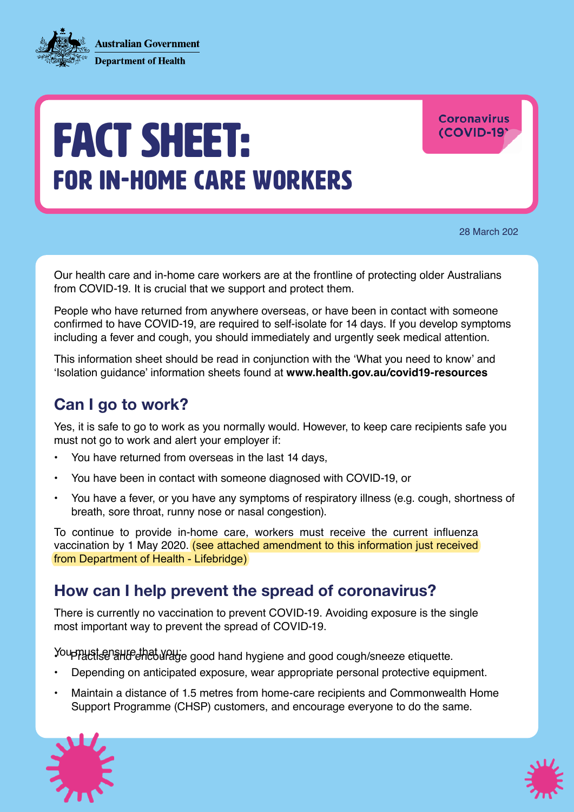**Australian Government Department of Health** 



**Coronavirus** (COVID-19)

28 March 202

Our health care and in-home care workers are at the frontline of protecting older Australians from COVID-19. It is crucial that we support and protect them.

People who have returned from anywhere overseas, or have been in contact with someone confirmed to have COVID-19, are required to self-isolate for 14 days. If you develop symptoms including a fever and cough, you should immediately and urgently seek medical attention.

This information sheet should be read in conjunction with the 'What you need to know' and 'Isolation guidance' information sheets found at **www.health.gov.au/covid19-resources** 

## Can I go to work?

Yes, it is safe to go to work as you normally would. However, to keep care recipients safe you must not go to work and alert your employer if:

- You have returned from overseas in the last 14 days,
- You have been in contact with someone diagnosed with COVID-19, or
- You have a fever, or you have any symptoms of respiratory illness (e.g. cough, shortness of breath, sore throat, runny nose or nasal congestion).

To continue to provide in-home care, workers must receive the current influenza vaccination by 1 May 2020. (see attached amendment to this information just received from Department of Health - Lifebridge)

#### How can I help prevent the spread of coronavirus?

There is currently no vaccination to prevent COVID-19. Avoiding exposure is the single most important way to prevent the spread of COVID-19.

Youppuretsen all of that you: e good hand hygiene and good cough/sneeze etiquette.

- Depending on anticipated exposure, wear appropriate personal protective equipment.
- Maintain a distance of 1.5 metres from home-care recipients and Commonwealth Home Support Programme (CHSP) customers, and encourage everyone to do the same.



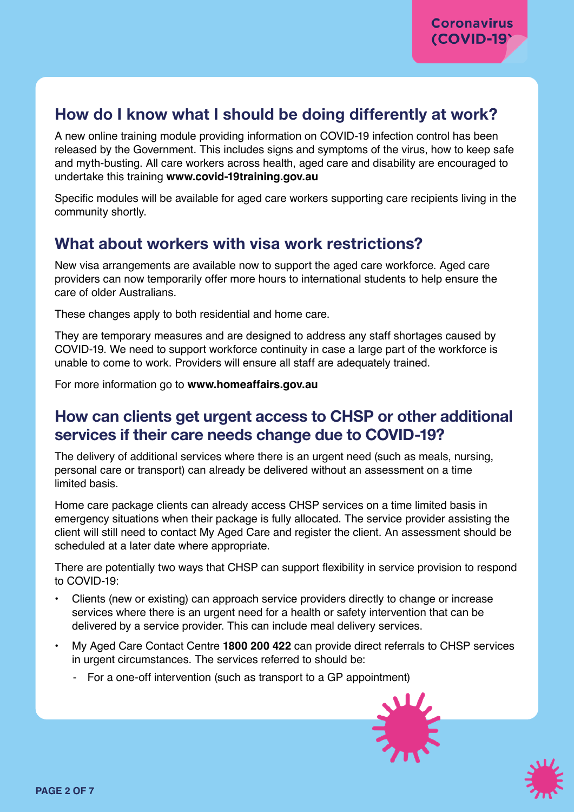## How do I know what I should be doing differently at work?

A new online training module providing information on COVID-19 infection control has been released by the Government. This includes signs and symptoms of the virus, how to keep safe and myth-busting. All care workers across health, aged care and disability are encouraged to undertake this training **www.[covid-19training.gov.au](https://covid-19training.gov.au)** 

Specific modules will be available for aged care workers supporting care recipients living in the community shortly.

### What about workers with visa work restrictions?

New visa arrangements are available now to support the aged care workforce. Aged care providers can now temporarily offer more hours to international students to help ensure the care of older Australians.

These changes apply to both residential and home care.

They are temporary measures and are designed to address any staff shortages caused by COVID-19. We need to support workforce continuity in case a large part of the workforce is unable to come to work. Providers will ensure all staff are adequately trained.

For more information go to **[www.homeaffairs.gov.au](http://www.homeaffairs.gov.au)** 

### How can clients get urgent access to CHSP or other additional services if their care needs change due to COVID-19?

The delivery of additional services where there is an urgent need (such as meals, nursing, personal care or transport) can already be delivered without an assessment on a time limited basis.

Home care package clients can already access CHSP services on a time limited basis in emergency situations when their package is fully allocated. The service provider assisting the client will still need to contact My Aged Care and register the client. An assessment should be scheduled at a later date where appropriate.

There are potentially two ways that CHSP can support flexibility in service provision to respond to COVID-19:

- Clients (new or existing) can approach service providers directly to change or increase services where there is an urgent need for a health or safety intervention that can be delivered by a service provider. This can include meal delivery services.
- My Aged Care Contact Centre **1800 200 422** can provide direct referrals to CHSP services in urgent circumstances. The services referred to should be:
	- For a one-off intervention (such as transport to a GP appointment)



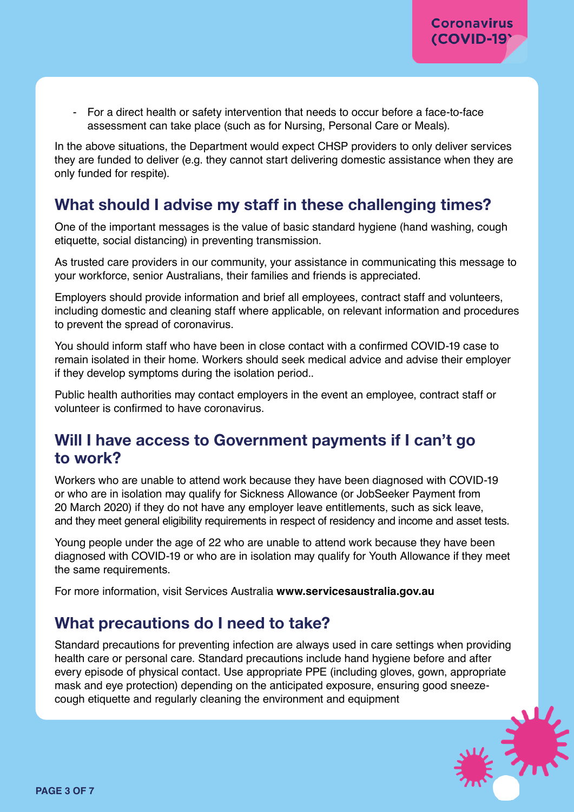- For a direct health or safety intervention that needs to occur before a face-to-face assessment can take place (such as for Nursing, Personal Care or Meals).

In the above situations, the Department would expect CHSP providers to only deliver services they are funded to deliver (e.g. they cannot start delivering domestic assistance when they are only funded for respite).

## What should I advise my staff in these challenging times?

One of the important messages is the value of basic standard hygiene (hand washing, cough etiquette, social distancing) in preventing transmission.

As trusted care providers in our community, your assistance in communicating this message to your workforce, senior Australians, their families and friends is appreciated.

Employers should provide information and brief all employees, contract staff and volunteers, including domestic and cleaning staff where applicable, on relevant information and procedures to prevent the spread of coronavirus.

You should inform staff who have been in close contact with a confirmed COVID-19 case to remain isolated in their home. Workers should seek medical advice and advise their employer if they develop symptoms during the isolation period..

Public health authorities may contact employers in the event an employee, contract staff or volunteer is confirmed to have coronavirus.

## Will I have access to Government payments if I can't go to work?

Workers who are unable to attend work because they have been diagnosed with COVID-19 or who are in isolation may qualify for Sickness Allowance (or JobSeeker Payment from 20 March 2020) if they do not have any employer leave entitlements, such as sick leave, and they meet general eligibility requirements in respect of residency and income and asset tests.

Young people under the age of 22 who are unable to attend work because they have been diagnosed with COVID-19 or who are in isolation may qualify for Youth Allowance if they meet the same requirements.

For more information, visit Services Australia**[www.servicesaustralia.gov.au](https://www.servicesaustralia.gov.au/)** 

## What precautions do I need to take?

Standard precautions for preventing infection are always used in care settings when providing health care or personal care. Standard precautions include hand hygiene before and after every episode of physical contact. Use appropriate PPE (including gloves, gown, appropriate mask and eye protection) depending on the anticipated exposure, ensuring good sneezecough etiquette and regularly cleaning the environment and equipment